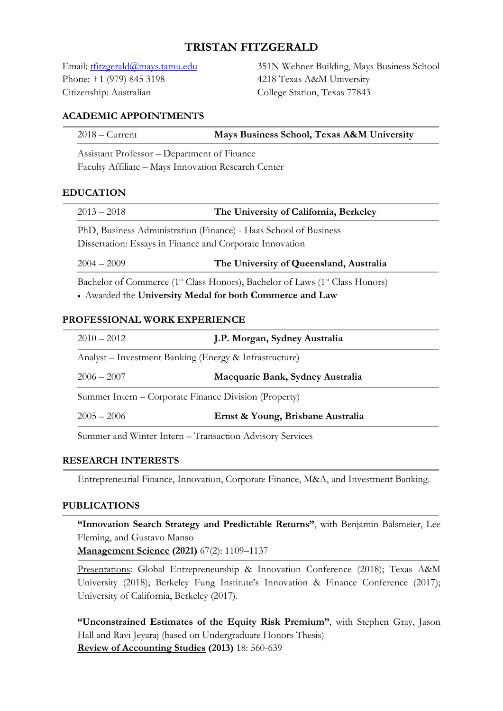# **TRISTAN FITZGERALD**

Phone: +1 (979) 845 3198 4218 Texas A&M University Citizenship: Australian College Station, Texas 77843

Email: tfitzgerald@mays.tamu.edu 351N Wehner Building, Mays Business School

### **ACADEMIC APPOINTMENTS**

| $2018 -$ Current | Mays Business School, Texas A&M University |
|------------------|--------------------------------------------|
|                  |                                            |

Assistant Professor – Department of Finance

Faculty Affiliate – Mays Innovation Research Center

### **EDUCATION**

| $2013 - 2018$                                                                                                                | The University of California, Berkeley  |  |
|------------------------------------------------------------------------------------------------------------------------------|-----------------------------------------|--|
| PhD, Business Administration (Finance) - Haas School of Business<br>Dissertation: Essays in Finance and Corporate Innovation |                                         |  |
| $2004 - 2009$                                                                                                                | The University of Queensland, Australia |  |

Bachelor of Commerce (1<sup>st</sup> Class Honors), Bachelor of Laws (1<sup>st</sup> Class Honors) • Awarded the **University Medal for both Commerce and Law**

### **PROFESSIONAL WORK EXPERIENCE**

| $2010 - 2012$                                            | J.P. Morgan, Sydney Australia     |  |
|----------------------------------------------------------|-----------------------------------|--|
| Analyst – Investment Banking (Energy & Infrastructure)   |                                   |  |
| $2006 - 2007$                                            | Macquarie Bank, Sydney Australia  |  |
| Summer Intern – Corporate Finance Division (Property)    |                                   |  |
| $2005 - 2006$                                            | Ernst & Young, Brisbane Australia |  |
| Summer and Winter Intern - Transaction Advisory Services |                                   |  |

### **RESEARCH INTERESTS**

Entrepreneurial Finance, Innovation, Corporate Finance, M&A, and Investment Banking.

### **PUBLICATIONS**

**"Innovation Search Strategy and Predictable Returns"**, with Benjamin Balsmeier, Lee Fleming, and Gustavo Manso

**Management Science (2021)** 67(2): 1109–1137

Presentations: Global Entrepreneurship & Innovation Conference (2018); Texas A&M University (2018); Berkeley Fung Institute's Innovation & Finance Conference (2017); University of California, Berkeley (2017).

**"Unconstrained Estimates of the Equity Risk Premium"**, with Stephen Gray, Jason Hall and Ravi Jeyaraj (based on Undergraduate Honors Thesis) **Review of Accounting Studies (2013)** 18: 560-639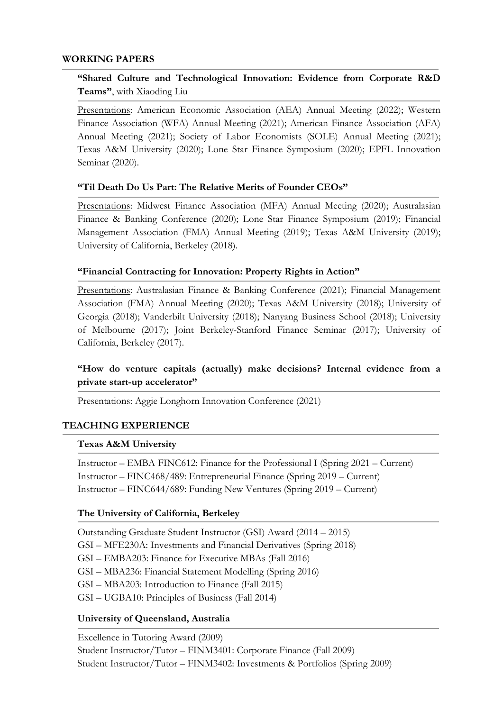### **WORKING PAPERS**

# **"Shared Culture and Technological Innovation: Evidence from Corporate R&D Teams"**, with Xiaoding Liu

Presentations: American Economic Association (AEA) Annual Meeting (2022); Western Finance Association (WFA) Annual Meeting (2021); American Finance Association (AFA) Annual Meeting (2021); Society of Labor Economists (SOLE) Annual Meeting (2021); Texas A&M University (2020); Lone Star Finance Symposium (2020); EPFL Innovation Seminar (2020).

### **"Til Death Do Us Part: The Relative Merits of Founder CEOs"**

Presentations: Midwest Finance Association (MFA) Annual Meeting (2020); Australasian Finance & Banking Conference (2020); Lone Star Finance Symposium (2019); Financial Management Association (FMA) Annual Meeting (2019); Texas A&M University (2019); University of California, Berkeley (2018).

### **"Financial Contracting for Innovation: Property Rights in Action"**

Presentations: Australasian Finance & Banking Conference (2021); Financial Management Association (FMA) Annual Meeting (2020); Texas A&M University (2018); University of Georgia (2018); Vanderbilt University (2018); Nanyang Business School (2018); University of Melbourne (2017); Joint Berkeley-Stanford Finance Seminar (2017); University of California, Berkeley (2017).

# **"How do venture capitals (actually) make decisions? Internal evidence from a private start-up accelerator"**

Presentations: Aggie Longhorn Innovation Conference (2021)

### **TEACHING EXPERIENCE**

#### **Texas A&M University**

Instructor – EMBA FINC612: Finance for the Professional I (Spring 2021 – Current) Instructor – FINC468/489: Entrepreneurial Finance (Spring 2019 – Current) Instructor – FINC644/689: Funding New Ventures (Spring 2019 – Current)

#### **The University of California, Berkeley**

Outstanding Graduate Student Instructor (GSI) Award (2014 – 2015) GSI – MFE230A: Investments and Financial Derivatives (Spring 2018) GSI – EMBA203: Finance for Executive MBAs (Fall 2016) GSI – MBA236: Financial Statement Modelling (Spring 2016) GSI – MBA203: Introduction to Finance (Fall 2015) GSI – UGBA10: Principles of Business (Fall 2014)

#### **University of Queensland, Australia**

Excellence in Tutoring Award (2009) Student Instructor/Tutor – FINM3401: Corporate Finance (Fall 2009) Student Instructor/Tutor – FINM3402: Investments & Portfolios (Spring 2009)